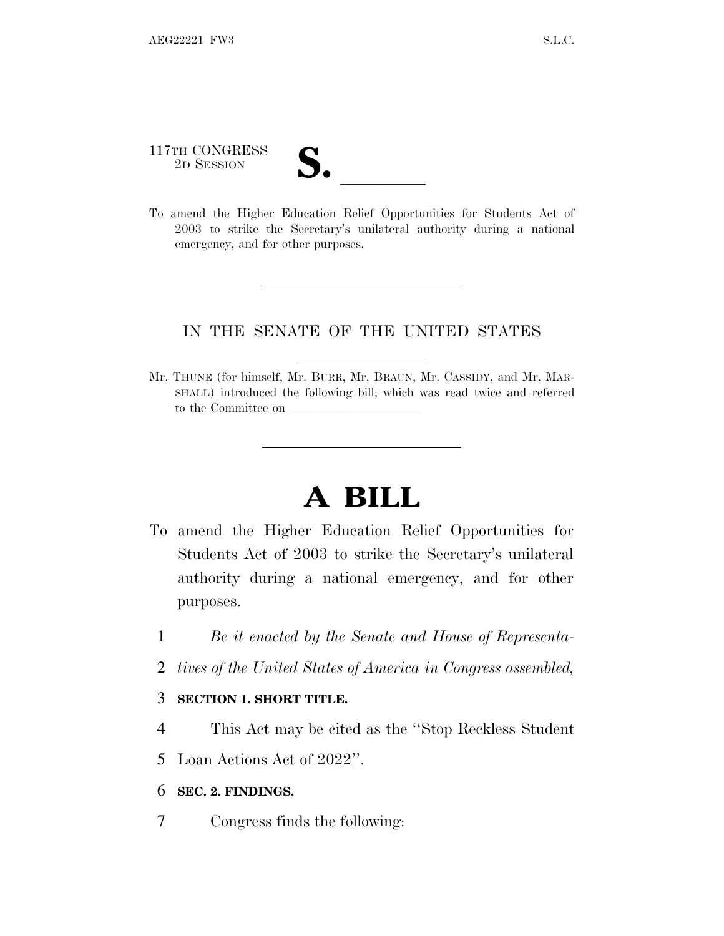117TH CONGRESS 117TH CONGRESS<br>
2D SESSION<br>
To amend the Higher Education Relief Opportunities for Students Act of

2003 to strike the Secretary's unilateral authority during a national emergency, and for other purposes.

## IN THE SENATE OF THE UNITED STATES

Mr. THUNE (for himself, Mr. BURR, Mr. BRAUN, Mr. CASSIDY, and Mr. MAR-SHALL) introduced the following bill; which was read twice and referred to the Committee on

## **A BILL**

- To amend the Higher Education Relief Opportunities for Students Act of 2003 to strike the Secretary's unilateral authority during a national emergency, and for other purposes.
	- 1 *Be it enacted by the Senate and House of Representa-*
	- 2 *tives of the United States of America in Congress assembled,*

## 3 **SECTION 1. SHORT TITLE.**

4 This Act may be cited as the ''Stop Reckless Student

5 Loan Actions Act of 2022''.

## 6 **SEC. 2. FINDINGS.**

7 Congress finds the following: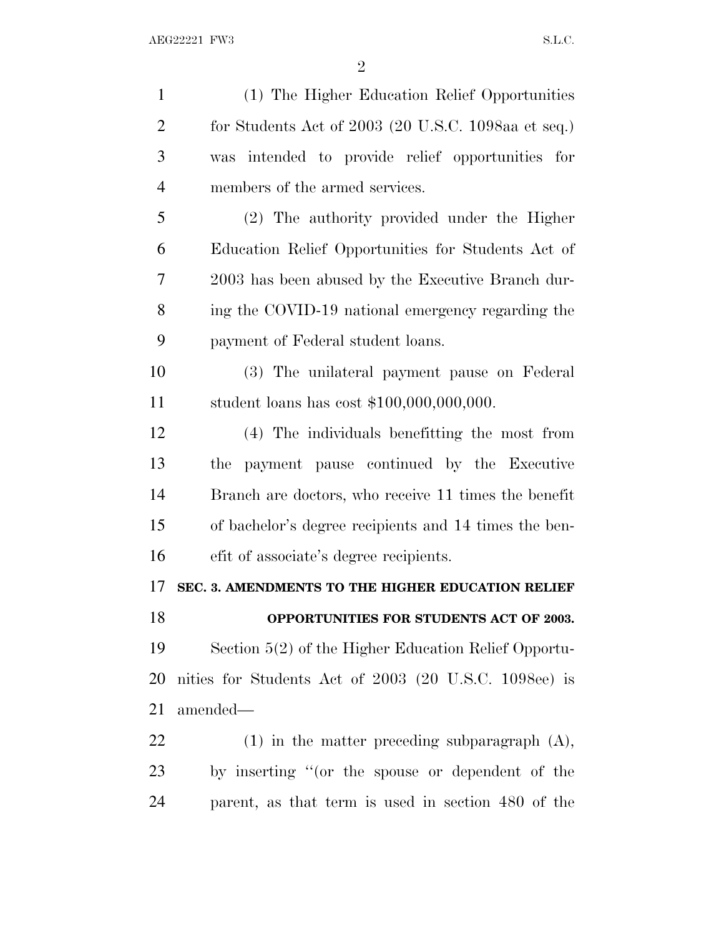| $\mathbf{1}$   | (1) The Higher Education Relief Opportunities         |
|----------------|-------------------------------------------------------|
| $\overline{2}$ | for Students Act of $2003$ (20 U.S.C. 1098aa et seq.) |
| 3              | was intended to provide relief opportunities for      |
| $\overline{4}$ | members of the armed services.                        |
| 5              | (2) The authority provided under the Higher           |
| 6              | Education Relief Opportunities for Students Act of    |
| 7              | 2003 has been abused by the Executive Branch dur-     |
| 8              | ing the COVID-19 national emergency regarding the     |
| 9              | payment of Federal student loans.                     |
| 10             | (3) The unilateral payment pause on Federal           |
| 11             | student loans has cost $$100,000,000,000$ .           |
| 12             | (4) The individuals benefitting the most from         |
| 13             | payment pause continued by the Executive<br>the       |
| 14             | Branch are doctors, who receive 11 times the benefit  |
| 15             | of bachelor's degree recipients and 14 times the ben- |
| 16             | efit of associate's degree recipients.                |
| 17             | SEC. 3. AMENDMENTS TO THE HIGHER EDUCATION RELIEF     |
| 18             | OPPORTUNITIES FOR STUDENTS ACT OF 2003.               |
| 19             | Section 5(2) of the Higher Education Relief Opportu-  |
| 20             | nities for Students Act of 2003 (20 U.S.C. 1098ee) is |
| 21             | amended-                                              |
| 22             | $(1)$ in the matter preceding subparagraph $(A)$ ,    |
| 23             | by inserting "(or the spouse or dependent of the      |
| 24             | parent, as that term is used in section 480 of the    |
|                |                                                       |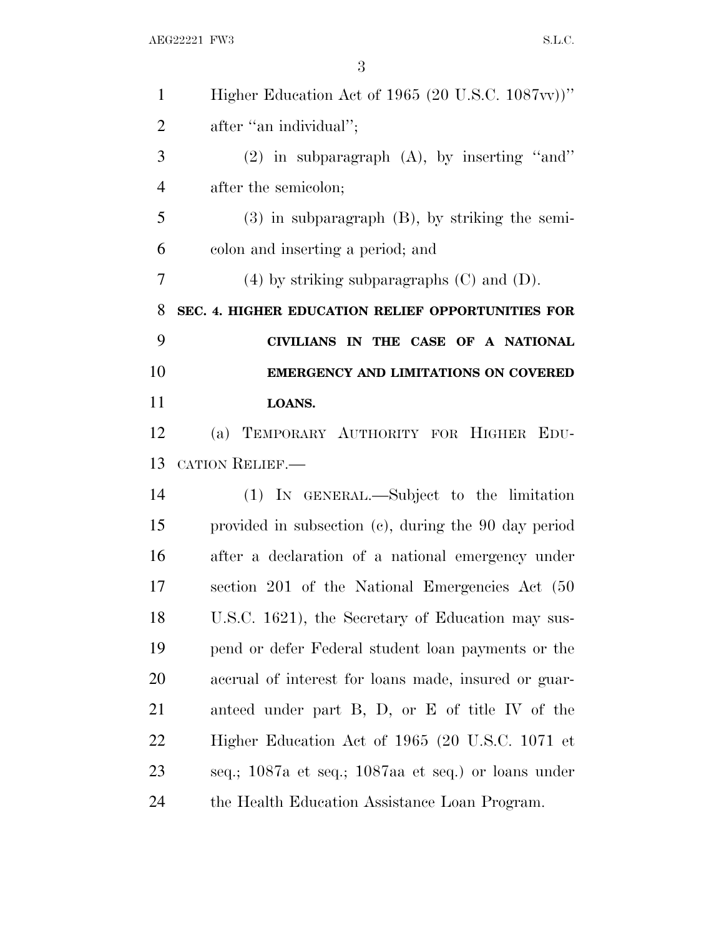AEG22221 FW3 S.L.C.

| $\mathbf{1}$   | Higher Education Act of 1965 (20 U.S.C. 1087vv))"    |
|----------------|------------------------------------------------------|
| $\overline{2}$ | after "an individual";                               |
| 3              | $(2)$ in subparagraph $(A)$ , by inserting "and"     |
| $\overline{4}$ | after the semicolon;                                 |
| 5              | $(3)$ in subparagraph $(B)$ , by striking the semi-  |
| 6              | colon and inserting a period; and                    |
| 7              | $(4)$ by striking subparagraphs $(C)$ and $(D)$ .    |
| 8              | SEC. 4. HIGHER EDUCATION RELIEF OPPORTUNITIES FOR    |
| 9              | CIVILIANS IN THE CASE OF A NATIONAL                  |
| 10             | <b>EMERGENCY AND LIMITATIONS ON COVERED</b>          |
| 11             | LOANS.                                               |
| 12             | (a) TEMPORARY AUTHORITY FOR HIGHER EDU-              |
| 13             | CATION RELIEF.                                       |
| 14             | (1) IN GENERAL.—Subject to the limitation            |
| 15             | provided in subsection (c), during the 90 day period |
| 16             | after a declaration of a national emergency under    |
| 17             | section 201 of the National Emergencies Act (50)     |
| 18             | U.S.C. 1621), the Secretary of Education may sus-    |
| 19             | pend or defer Federal student loan payments or the   |
| 20             | accrual of interest for loans made, insured or guar- |
| 21             | anteed under part B, D, or E of title IV of the      |
| 22             | Higher Education Act of 1965 (20 U.S.C. 1071 et      |
| 23             | seq.; 1087a et seq.; 1087aa et seq.) or loans under  |
| 24             | the Health Education Assistance Loan Program.        |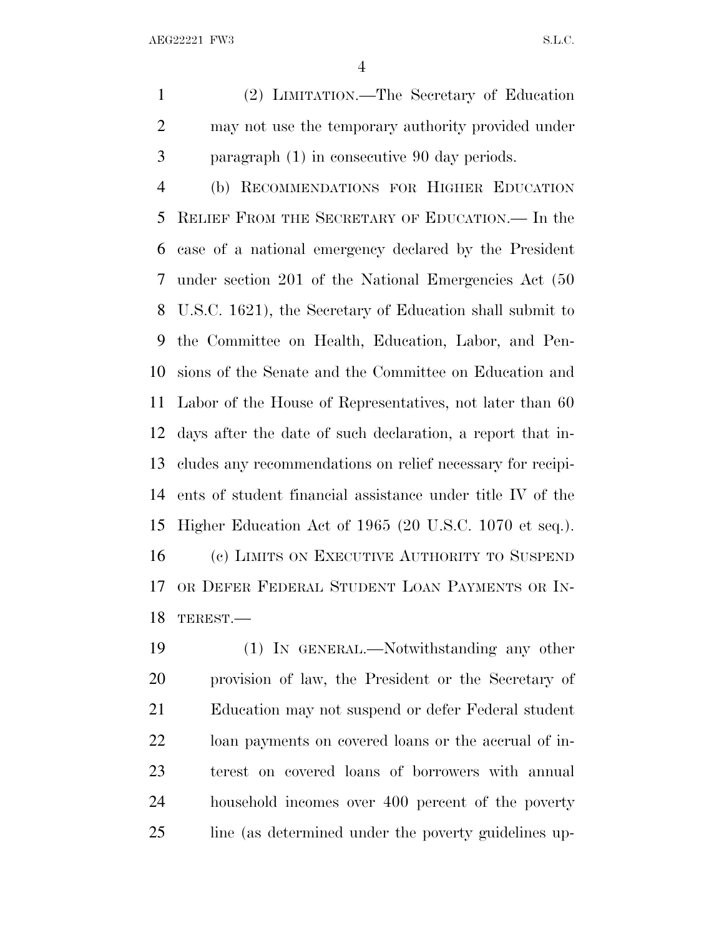AEG22221 FW3 S.L.C.

 (2) LIMITATION.—The Secretary of Education may not use the temporary authority provided under paragraph (1) in consecutive 90 day periods.

 (b) RECOMMENDATIONS FOR HIGHER EDUCATION RELIEF FROM THE SECRETARY OF EDUCATION.— In the case of a national emergency declared by the President under section 201 of the National Emergencies Act (50 U.S.C. 1621), the Secretary of Education shall submit to the Committee on Health, Education, Labor, and Pen- sions of the Senate and the Committee on Education and Labor of the House of Representatives, not later than 60 days after the date of such declaration, a report that in- cludes any recommendations on relief necessary for recipi- ents of student financial assistance under title IV of the Higher Education Act of 1965 (20 U.S.C. 1070 et seq.). (c) LIMITS ON EXECUTIVE AUTHORITY TO SUSPEND OR DEFER FEDERAL STUDENT LOAN PAYMENTS OR IN-TEREST.—

 (1) IN GENERAL.—Notwithstanding any other provision of law, the President or the Secretary of Education may not suspend or defer Federal student loan payments on covered loans or the accrual of in- terest on covered loans of borrowers with annual household incomes over 400 percent of the poverty 25 line (as determined under the poverty guidelines up-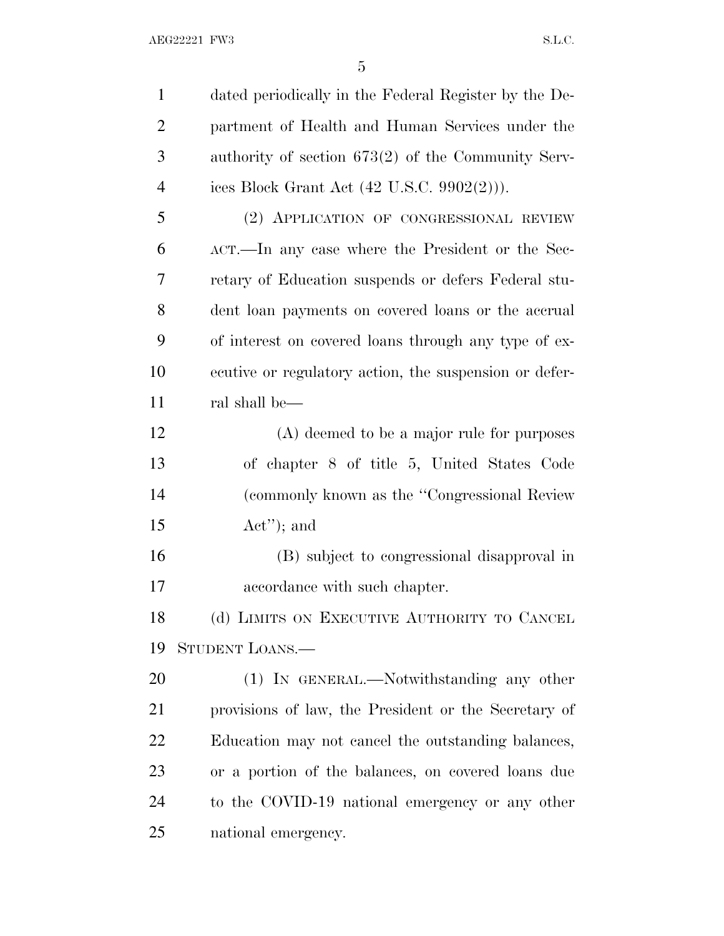dated periodically in the Federal Register by the De- partment of Health and Human Services under the authority of section 673(2) of the Community Serv- ices Block Grant Act (42 U.S.C. 9902(2))). (2) APPLICATION OF CONGRESSIONAL REVIEW ACT.—In any case where the President or the Sec- retary of Education suspends or defers Federal stu- dent loan payments on covered loans or the accrual of interest on covered loans through any type of ex- ecutive or regulatory action, the suspension or defer- ral shall be— (A) deemed to be a major rule for purposes of chapter 8 of title 5, United States Code (commonly known as the ''Congressional Review Act''); and (B) subject to congressional disapproval in accordance with such chapter. 18 (d) LIMITS ON EXECUTIVE AUTHORITY TO CANCEL STUDENT LOANS.— (1) IN GENERAL.—Notwithstanding any other provisions of law, the President or the Secretary of Education may not cancel the outstanding balances, or a portion of the balances, on covered loans due to the COVID-19 national emergency or any other national emergency.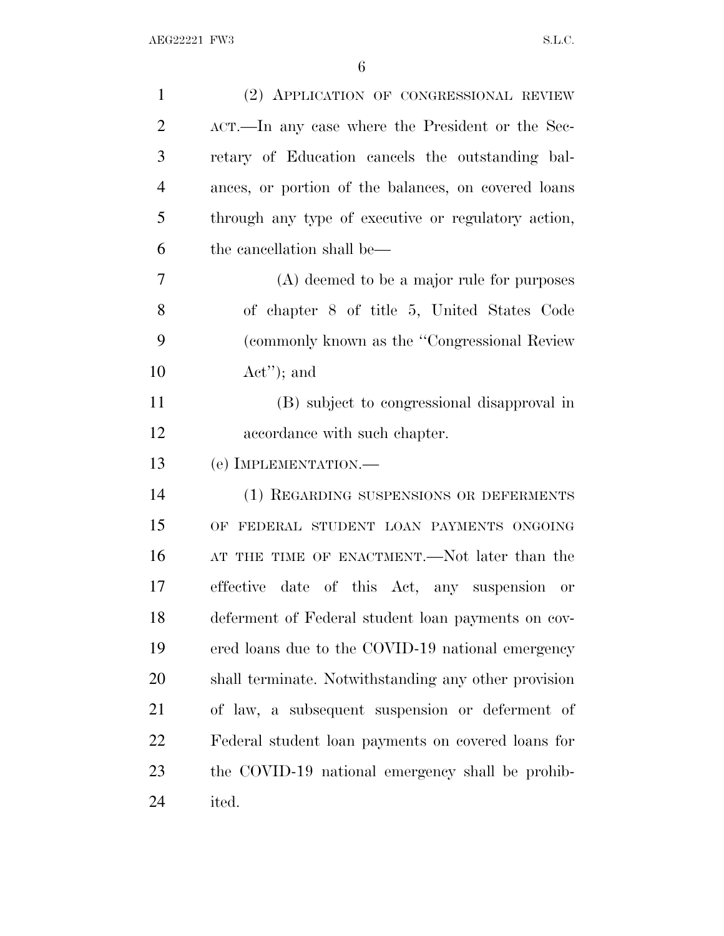| $\mathbf{1}$   | (2) APPLICATION OF CONGRESSIONAL REVIEW                    |
|----------------|------------------------------------------------------------|
| $\overline{2}$ | ACT.—In any case where the President or the Sec-           |
| 3              | retary of Education cancels the outstanding bal-           |
| $\overline{4}$ | ances, or portion of the balances, on covered loans        |
| 5              | through any type of executive or regulatory action,        |
| 6              | the cancellation shall be—                                 |
| $\overline{7}$ | (A) deemed to be a major rule for purposes                 |
| 8              | of chapter 8 of title 5, United States Code                |
| 9              | (commonly known as the "Congressional Review")             |
| 10             | $Act''$ ; and                                              |
| 11             | (B) subject to congressional disapproval in                |
| 12             | accordance with such chapter.                              |
| 13             | (e) IMPLEMENTATION.—                                       |
| 14             | (1) REGARDING SUSPENSIONS OR DEFERMENTS                    |
| 15             | OF FEDERAL STUDENT LOAN PAYMENTS ONGOING                   |
| 16             | AT THE TIME OF ENACTMENT.—Not later than the               |
| 17             | effective<br>date of this Act, any suspension<br><b>or</b> |
| 18             | deferment of Federal student loan payments on cov-         |
| 19             | ered loans due to the COVID-19 national emergency          |
| 20             | shall terminate. Notwithstanding any other provision       |
| 21             | of law, a subsequent suspension or deferment of            |
| 22             | Federal student loan payments on covered loans for         |
| 23             | the COVID-19 national emergency shall be prohib-           |
| 24             | ited.                                                      |